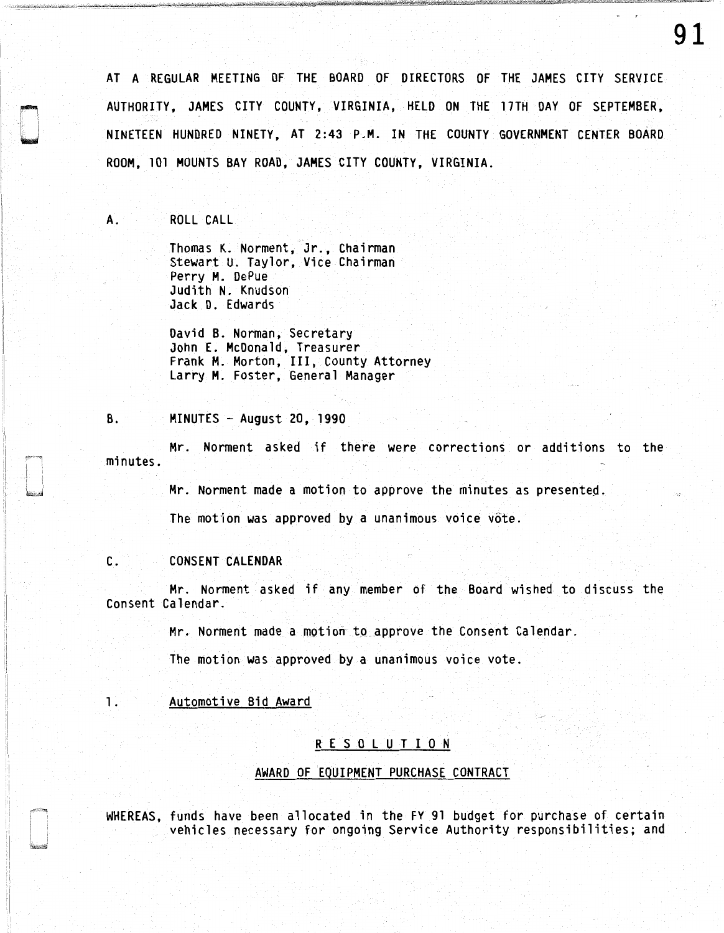AT A REGULAR MEETING OF THE BOARD OF DIRECTORS OF THE JAMES CITY SERVICE AUTHORITY, JAMES CITY COUNTY, VIRGINIA, HELD ON THE 17TH DAY OF SEPTEMBER, NINETEEN HUNDRED NINETY, AT 2:43 P.M. IN THE COUNTY GOVERNMENT CENTER BOARD ROOM, 101 MOUNTS BAY ROAD, JAMES CITY COUNTY, VIRGINIA.

A. ROLL CALL

Thomas K. Norment, Jr., Chairman Stewart U. Taylor, Vice Chairman Perry M. DePue Judith N. Knudson Jack D. Edwards

David B. Norman, Secretary John E. McDonald, Treasurer Frank M. Morton, III, County Attorney Larry M. Foster, General Manager

#### B. MINUTES - August 20, 1990

Mr. Norment asked if there were corrections or additions to the minutes.

Mr. Norment made a motion to approve the minutes as presented.

The motion was approved by a unanimous voice vote.

## C. CONSENT CALENDAR

Mr. Norment asked if any member of the Board wished to discuss the Consent Calendar.

Mr. Norment made a motion to approve the Consent Calendar.

The motion was approved by a unanimous voice vote.

# 1. Automotive Bid Award

### R E S 0 L U T I 0 N

### AWARD OF EQUIPMENT PURCHASE CONTRACT

WHEREAS, funds have been allocated in the FY 91 budget for purchase of certain vehicles necessary for ongoing Service Authority responsibilities; and

91